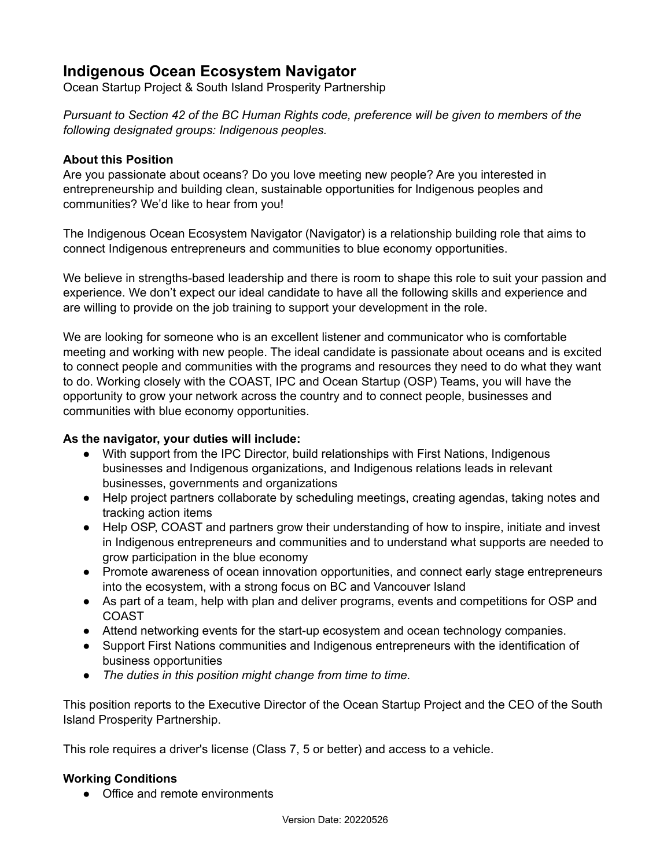# **Indigenous Ocean Ecosystem Navigator**

Ocean Startup Project & South Island Prosperity Partnership

*Pursuant to Section 42 of the BC Human Rights code, preference will be given to members of the following designated groups: Indigenous peoples.*

## **About this Position**

Are you passionate about oceans? Do you love meeting new people? Are you interested in entrepreneurship and building clean, sustainable opportunities for Indigenous peoples and communities? We'd like to hear from you!

The Indigenous Ocean Ecosystem Navigator (Navigator) is a relationship building role that aims to connect Indigenous entrepreneurs and communities to blue economy opportunities.

We believe in strengths-based leadership and there is room to shape this role to suit your passion and experience. We don't expect our ideal candidate to have all the following skills and experience and are willing to provide on the job training to support your development in the role.

We are looking for someone who is an excellent listener and communicator who is comfortable meeting and working with new people. The ideal candidate is passionate about oceans and is excited to connect people and communities with the programs and resources they need to do what they want to do. Working closely with the COAST, IPC and Ocean Startup (OSP) Teams, you will have the opportunity to grow your network across the country and to connect people, businesses and communities with blue economy opportunities.

### **As the navigator, your duties will include:**

- With support from the IPC Director, build relationships with First Nations, Indigenous businesses and Indigenous organizations, and Indigenous relations leads in relevant businesses, governments and organizations
- Help project partners collaborate by scheduling meetings, creating agendas, taking notes and tracking action items
- Help OSP, COAST and partners grow their understanding of how to inspire, initiate and invest in Indigenous entrepreneurs and communities and to understand what supports are needed to grow participation in the blue economy
- Promote awareness of ocean innovation opportunities, and connect early stage entrepreneurs into the ecosystem, with a strong focus on BC and Vancouver Island
- As part of a team, help with plan and deliver programs, events and competitions for OSP and COAST
- Attend networking events for the start-up ecosystem and ocean technology companies.
- Support First Nations communities and Indigenous entrepreneurs with the identification of business opportunities
- *The duties in this position might change from time to time.*

This position reports to the Executive Director of the Ocean Startup Project and the CEO of the South Island Prosperity Partnership.

This role requires a driver's license (Class 7, 5 or better) and access to a vehicle.

## **Working Conditions**

• Office and remote environments